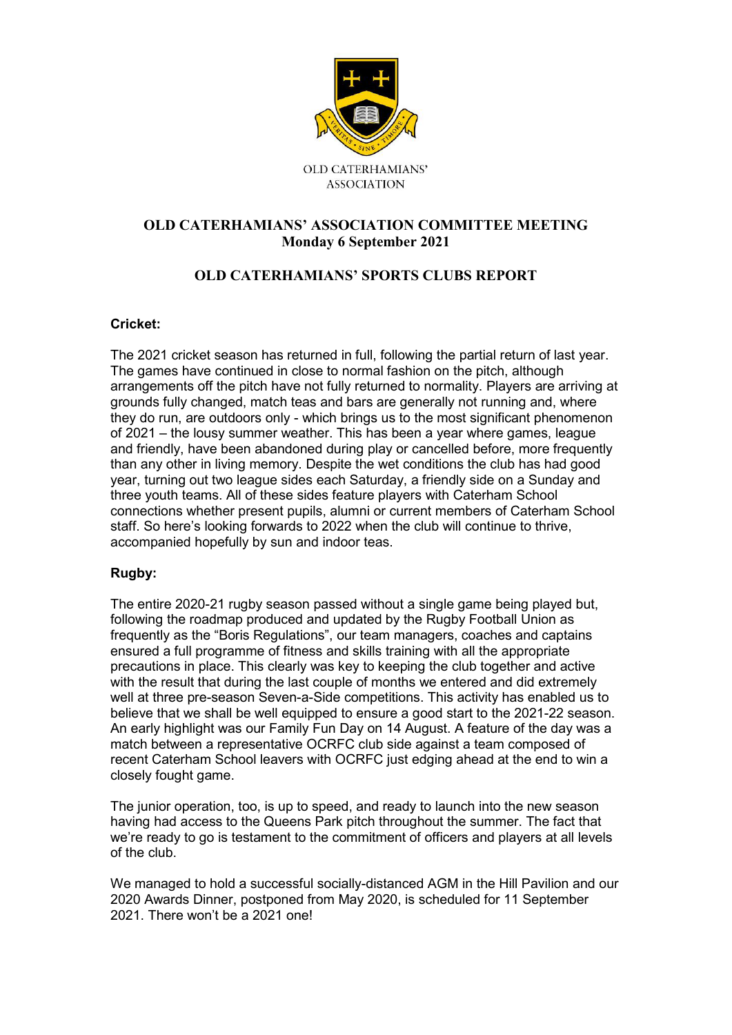

## **OLD CATERHAMIANS' ASSOCIATION COMMITTEE MEETING Monday 6 September 2021**

# **OLD CATERHAMIANS' SPORTS CLUBS REPORT**

### **Cricket:**

The 2021 cricket season has returned in full, following the partial return of last year. The games have continued in close to normal fashion on the pitch, although arrangements off the pitch have not fully returned to normality. Players are arriving at grounds fully changed, match teas and bars are generally not running and, where they do run, are outdoors only - which brings us to the most significant phenomenon of 2021 – the lousy summer weather. This has been a year where games, league and friendly, have been abandoned during play or cancelled before, more frequently than any other in living memory. Despite the wet conditions the club has had good year, turning out two league sides each Saturday, a friendly side on a Sunday and three youth teams. All of these sides feature players with Caterham School connections whether present pupils, alumni or current members of Caterham School staff. So here's looking forwards to 2022 when the club will continue to thrive, accompanied hopefully by sun and indoor teas.

### **Rugby:**

The entire 2020-21 rugby season passed without a single game being played but, following the roadmap produced and updated by the Rugby Football Union as frequently as the "Boris Regulations", our team managers, coaches and captains ensured a full programme of fitness and skills training with all the appropriate precautions in place. This clearly was key to keeping the club together and active with the result that during the last couple of months we entered and did extremely well at three pre-season Seven-a-Side competitions. This activity has enabled us to believe that we shall be well equipped to ensure a good start to the 2021-22 season. An early highlight was our Family Fun Day on 14 August. A feature of the day was a match between a representative OCRFC club side against a team composed of recent Caterham School leavers with OCRFC just edging ahead at the end to win a closely fought game.

The junior operation, too, is up to speed, and ready to launch into the new season having had access to the Queens Park pitch throughout the summer. The fact that we're ready to go is testament to the commitment of officers and players at all levels of the club.

We managed to hold a successful socially-distanced AGM in the Hill Pavilion and our 2020 Awards Dinner, postponed from May 2020, is scheduled for 11 September 2021. There won't be a 2021 one!